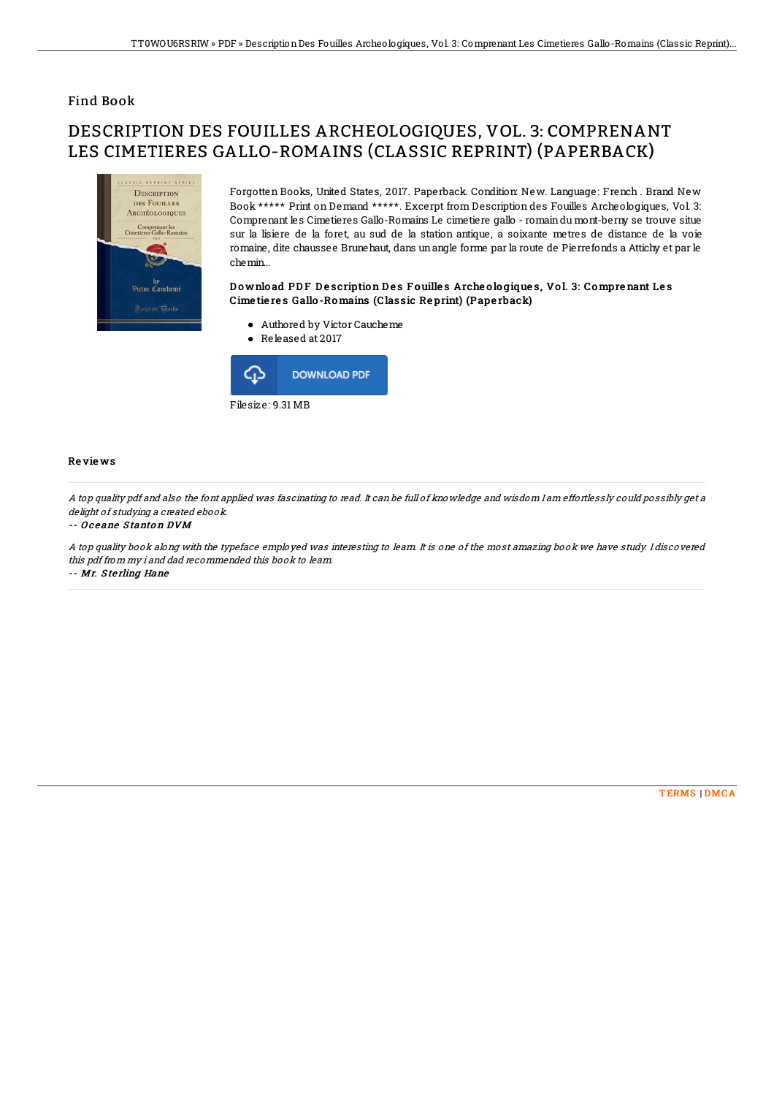## Find Book

# DESCRIPTION DES FOUILLES ARCHEOLOGIQUES, VOL. 3: COMPRENANT LES CIMETIERES GALLO-ROMAINS (CLASSIC REPRINT) (PAPERBACK)



Forgotten Books, United States, 2017. Paperback. Condition: New. Language: French . Brand New Book \*\*\*\*\* Print on Demand \*\*\*\*\*. Excerpt from Description des Fouilles Archeologiques, Vol. 3: Comprenant les Cimetieres Gallo-Romains Le cimetiere gallo - romaindu mont-berny se trouve situe sur la lisiere de la foret, au sud de la station antique, a soixante metres de distance de la voie romaine, dite chaussee Brunehaut, dans unangle forme par la route de Pierrefonds a Attichy et par le chemin...

### Download PDF Description Des Fouilles Archeologiques, Vol. 3: Comprenant Les Cime tie re s Gallo -Romains (Classic Re print) (Pape rback)

- Authored by Victor Caucheme
- Released at 2017



#### Re vie ws

A top quality pdf and also the font applied was fascinating to read. It can be full of knowledge and wisdom I am effortlessly could possibly get <sup>a</sup> delight of studying a created ebook.

#### -- Oceane Stanton DVM

A top quality book along with the typeface employed was interesting to learn. It is one of the most amazing book we have study. I discovered this pdf from my i and dad recommended this book to learn. -- Mr. S te rling Hane